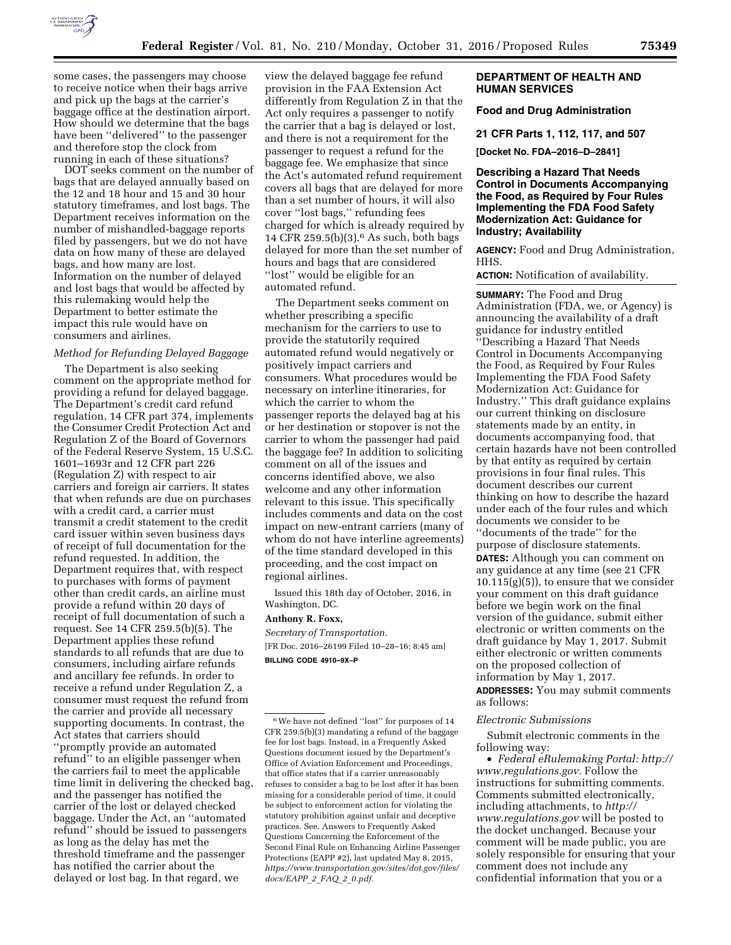

some cases, the passengers may choose to receive notice when their bags arrive and pick up the bags at the carrier's baggage office at the destination airport. How should we determine that the bags have been ''delivered'' to the passenger and therefore stop the clock from running in each of these situations?

DOT seeks comment on the number of bags that are delayed annually based on the 12 and 18 hour and 15 and 30 hour statutory timeframes, and lost bags. The Department receives information on the number of mishandled-baggage reports filed by passengers, but we do not have data on how many of these are delayed bags, and how many are lost. Information on the number of delayed and lost bags that would be affected by this rulemaking would help the Department to better estimate the impact this rule would have on consumers and airlines.

# *Method for Refunding Delayed Baggage*

The Department is also seeking comment on the appropriate method for providing a refund for delayed baggage. The Department's credit card refund regulation, 14 CFR part 374, implements the Consumer Credit Protection Act and Regulation Z of the Board of Governors of the Federal Reserve System, 15 U.S.C. 1601–1693r and 12 CFR part 226 (Regulation Z) with respect to air carriers and foreign air carriers. It states that when refunds are due on purchases with a credit card, a carrier must transmit a credit statement to the credit card issuer within seven business days of receipt of full documentation for the refund requested. In addition, the Department requires that, with respect to purchases with forms of payment other than credit cards, an airline must provide a refund within 20 days of receipt of full documentation of such a request. See 14 CFR 259.5(b)(5). The Department applies these refund standards to all refunds that are due to consumers, including airfare refunds and ancillary fee refunds. In order to receive a refund under Regulation Z, a consumer must request the refund from the carrier and provide all necessary supporting documents. In contrast, the Act states that carriers should ''promptly provide an automated refund'' to an eligible passenger when the carriers fail to meet the applicable time limit in delivering the checked bag, and the passenger has notified the carrier of the lost or delayed checked baggage. Under the Act, an ''automated refund'' should be issued to passengers as long as the delay has met the threshold timeframe and the passenger has notified the carrier about the delayed or lost bag. In that regard, we

view the delayed baggage fee refund provision in the FAA Extension Act differently from Regulation Z in that the Act only requires a passenger to notify the carrier that a bag is delayed or lost, and there is not a requirement for the passenger to request a refund for the baggage fee. We emphasize that since the Act's automated refund requirement covers all bags that are delayed for more than a set number of hours, it will also cover ''lost bags,'' refunding fees charged for which is already required by 14 CFR 259.5(b)(3).6 As such, both bags delayed for more than the set number of hours and bags that are considered ''lost'' would be eligible for an automated refund.

The Department seeks comment on whether prescribing a specific mechanism for the carriers to use to provide the statutorily required automated refund would negatively or positively impact carriers and consumers. What procedures would be necessary on interline itineraries, for which the carrier to whom the passenger reports the delayed bag at his or her destination or stopover is not the carrier to whom the passenger had paid the baggage fee? In addition to soliciting comment on all of the issues and concerns identified above, we also welcome and any other information relevant to this issue. This specifically includes comments and data on the cost impact on new-entrant carriers (many of whom do not have interline agreements) of the time standard developed in this proceeding, and the cost impact on regional airlines.

Issued this 18th day of October, 2016, in Washington, DC.

## **Anthony R. Foxx,**

*Secretary of Transportation.*  [FR Doc. 2016–26199 Filed 10–28–16; 8:45 am] **BILLING CODE 4910–9X–P** 

## **DEPARTMENT OF HEALTH AND HUMAN SERVICES**

# **Food and Drug Administration**

#### **21 CFR Parts 1, 112, 117, and 507**

**[Docket No. FDA–2016–D–2841]** 

**Describing a Hazard That Needs Control in Documents Accompanying the Food, as Required by Four Rules Implementing the FDA Food Safety Modernization Act: Guidance for Industry; Availability** 

**AGENCY:** Food and Drug Administration, HHS.

**ACTION:** Notification of availability.

**SUMMARY:** The Food and Drug Administration (FDA, we, or Agency) is announcing the availability of a draft guidance for industry entitled ''Describing a Hazard That Needs Control in Documents Accompanying the Food, as Required by Four Rules Implementing the FDA Food Safety Modernization Act: Guidance for Industry.'' This draft guidance explains our current thinking on disclosure statements made by an entity, in documents accompanying food, that certain hazards have not been controlled by that entity as required by certain provisions in four final rules. This document describes our current thinking on how to describe the hazard under each of the four rules and which documents we consider to be

''documents of the trade'' for the purpose of disclosure statements. **DATES:** Although you can comment on any guidance at any time (see 21 CFR  $10.115(g)(5)$ , to ensure that we consider your comment on this draft guidance before we begin work on the final version of the guidance, submit either electronic or written comments on the draft guidance by May 1, 2017. Submit either electronic or written comments on the proposed collection of information by May 1, 2017. **ADDRESSES:** You may submit comments as follows:

## *Electronic Submissions*

Submit electronic comments in the following way:

• *Federal eRulemaking Portal: [http://](http://www.regulations.gov)  [www.regulations.gov.](http://www.regulations.gov)* Follow the instructions for submitting comments. Comments submitted electronically, including attachments, to *[http://](http://www.regulations.gov) [www.regulations.gov](http://www.regulations.gov)* will be posted to the docket unchanged. Because your comment will be made public, you are solely responsible for ensuring that your comment does not include any confidential information that you or a

<sup>6</sup>We have not defined ''lost'' for purposes of 14 CFR 259.5(b)(3) mandating a refund of the baggage fee for lost bags. Instead, in a Frequently Asked Questions document issued by the Department's Office of Aviation Enforcement and Proceedings, that office states that if a carrier unreasonably refuses to consider a bag to be lost after it has been missing for a considerable period of time, it could be subject to enforcement action for violating the statutory prohibition against unfair and deceptive practices. See, Answers to Frequently Asked Questions Concerning the Enforcement of the Second Final Rule on Enhancing Airline Passenger Protections (EAPP #2), last updated May 8, 2015, *[https://www.transportation.gov/sites/dot.gov/files/](https://www.transportation.gov/sites/dot.gov/files/docs/EAPP_2_FAQ_2_0.pdf)  [docs/EAPP](https://www.transportation.gov/sites/dot.gov/files/docs/EAPP_2_FAQ_2_0.pdf)*\_*2*\_*FAQ*\_*2*\_*0.pdf.*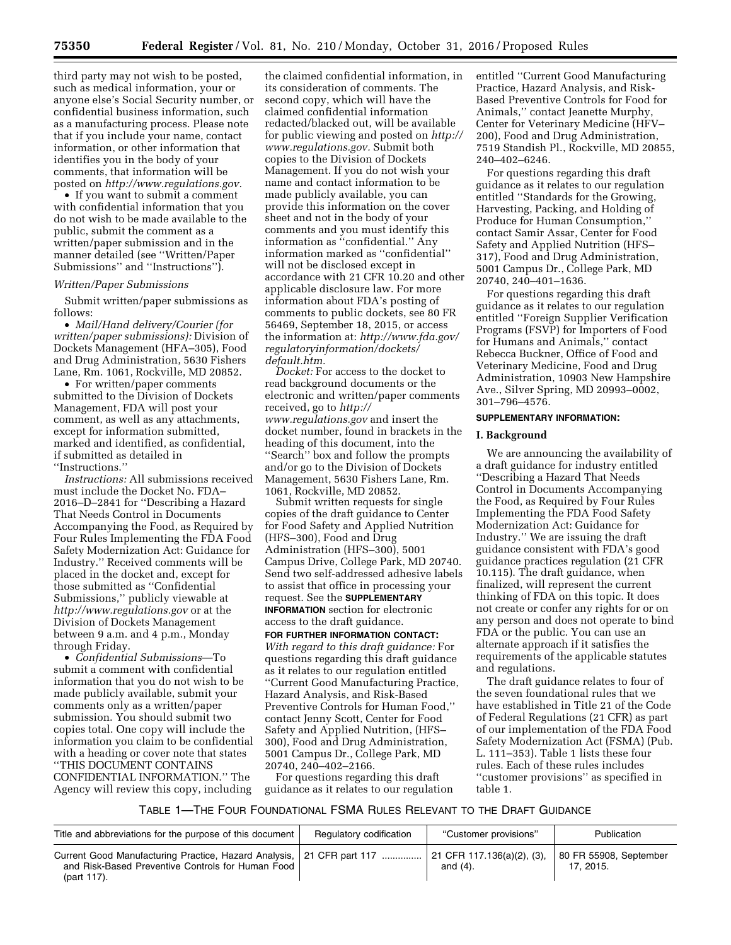third party may not wish to be posted, such as medical information, your or anyone else's Social Security number, or confidential business information, such as a manufacturing process. Please note that if you include your name, contact information, or other information that identifies you in the body of your comments, that information will be posted on *[http://www.regulations.gov.](http://www.regulations.gov)* 

• If you want to submit a comment with confidential information that you do not wish to be made available to the public, submit the comment as a written/paper submission and in the manner detailed (see ''Written/Paper Submissions'' and ''Instructions'').

### *Written/Paper Submissions*

Submit written/paper submissions as follows:

• *Mail/Hand delivery/Courier (for written/paper submissions):* Division of Dockets Management (HFA–305), Food and Drug Administration, 5630 Fishers Lane, Rm. 1061, Rockville, MD 20852.

• For written/paper comments submitted to the Division of Dockets Management, FDA will post your comment, as well as any attachments, except for information submitted, marked and identified, as confidential, if submitted as detailed in ''Instructions.''

*Instructions:* All submissions received must include the Docket No. FDA– 2016–D–2841 for ''Describing a Hazard That Needs Control in Documents Accompanying the Food, as Required by Four Rules Implementing the FDA Food Safety Modernization Act: Guidance for Industry.'' Received comments will be placed in the docket and, except for those submitted as ''Confidential Submissions,'' publicly viewable at *<http://www.regulations.gov>* or at the Division of Dockets Management between 9 a.m. and 4 p.m., Monday through Friday.

• *Confidential Submissions*—To submit a comment with confidential information that you do not wish to be made publicly available, submit your comments only as a written/paper submission. You should submit two copies total. One copy will include the information you claim to be confidential with a heading or cover note that states ''THIS DOCUMENT CONTAINS CONFIDENTIAL INFORMATION.'' The Agency will review this copy, including

the claimed confidential information, in its consideration of comments. The second copy, which will have the claimed confidential information redacted/blacked out, will be available for public viewing and posted on *[http://](http://www.regulations.gov)  [www.regulations.gov.](http://www.regulations.gov)* Submit both copies to the Division of Dockets Management. If you do not wish your name and contact information to be made publicly available, you can provide this information on the cover sheet and not in the body of your comments and you must identify this information as ''confidential.'' Any information marked as ''confidential'' will not be disclosed except in accordance with 21 CFR 10.20 and other applicable disclosure law. For more information about FDA's posting of comments to public dockets, see 80 FR 56469, September 18, 2015, or access the information at: *[http://www.fda.gov/](http://www.fda.gov/regulatoryinformation/dockets/default.htm)  [regulatoryinformation/dockets/](http://www.fda.gov/regulatoryinformation/dockets/default.htm)  [default.htm.](http://www.fda.gov/regulatoryinformation/dockets/default.htm)* 

*Docket:* For access to the docket to read background documents or the electronic and written/paper comments received, go to *[http://](http://www.regulations.gov) [www.regulations.gov](http://www.regulations.gov)* and insert the docket number, found in brackets in the heading of this document, into the ''Search'' box and follow the prompts and/or go to the Division of Dockets Management, 5630 Fishers Lane, Rm. 1061, Rockville, MD 20852.

Submit written requests for single copies of the draft guidance to Center for Food Safety and Applied Nutrition (HFS–300), Food and Drug Administration (HFS–300), 5001 Campus Drive, College Park, MD 20740. Send two self-addressed adhesive labels to assist that office in processing your request. See the **SUPPLEMENTARY INFORMATION** section for electronic access to the draft guidance.

# **FOR FURTHER INFORMATION CONTACT:**

*With regard to this draft guidance:* For questions regarding this draft guidance as it relates to our regulation entitled ''Current Good Manufacturing Practice, Hazard Analysis, and Risk-Based Preventive Controls for Human Food,'' contact Jenny Scott, Center for Food Safety and Applied Nutrition, (HFS– 300), Food and Drug Administration, 5001 Campus Dr., College Park, MD 20740, 240–402–2166.

For questions regarding this draft guidance as it relates to our regulation entitled ''Current Good Manufacturing Practice, Hazard Analysis, and Risk-Based Preventive Controls for Food for Animals,'' contact Jeanette Murphy, Center for Veterinary Medicine (HFV– 200), Food and Drug Administration, 7519 Standish Pl., Rockville, MD 20855, 240–402–6246.

For questions regarding this draft guidance as it relates to our regulation entitled ''Standards for the Growing, Harvesting, Packing, and Holding of Produce for Human Consumption,'' contact Samir Assar, Center for Food Safety and Applied Nutrition (HFS– 317), Food and Drug Administration, 5001 Campus Dr., College Park, MD 20740, 240–401–1636.

For questions regarding this draft guidance as it relates to our regulation entitled ''Foreign Supplier Verification Programs (FSVP) for Importers of Food for Humans and Animals,'' contact Rebecca Buckner, Office of Food and Veterinary Medicine, Food and Drug Administration, 10903 New Hampshire Ave., Silver Spring, MD 20993–0002, 301–796–4576.

### **SUPPLEMENTARY INFORMATION:**

## **I. Background**

We are announcing the availability of a draft guidance for industry entitled ''Describing a Hazard That Needs Control in Documents Accompanying the Food, as Required by Four Rules Implementing the FDA Food Safety Modernization Act: Guidance for Industry.'' We are issuing the draft guidance consistent with FDA's good guidance practices regulation (21 CFR 10.115). The draft guidance, when finalized, will represent the current thinking of FDA on this topic. It does not create or confer any rights for or on any person and does not operate to bind FDA or the public. You can use an alternate approach if it satisfies the requirements of the applicable statutes and regulations.

The draft guidance relates to four of the seven foundational rules that we have established in Title 21 of the Code of Federal Regulations (21 CFR) as part of our implementation of the FDA Food Safety Modernization Act (FSMA) (Pub. L. 111–353). Table 1 lists these four rules. Each of these rules includes ''customer provisions'' as specified in table 1.

# TABLE 1—THE FOUR FOUNDATIONAL FSMA RULES RELEVANT TO THE DRAFT GUIDANCE

| Title and abbreviations for the purpose of this document                                                                                  | Regulatory codification | "Customer provisions"                     | Publication                         |
|-------------------------------------------------------------------------------------------------------------------------------------------|-------------------------|-------------------------------------------|-------------------------------------|
| Current Good Manufacturing Practice, Hazard Analysis, 21 CFR part 117<br>and Risk-Based Preventive Controls for Human Food<br>(part 117). |                         | 21 CFR 117.136(a)(2), (3),<br>and $(4)$ . | 80 FR 55908, September<br>17, 2015. |